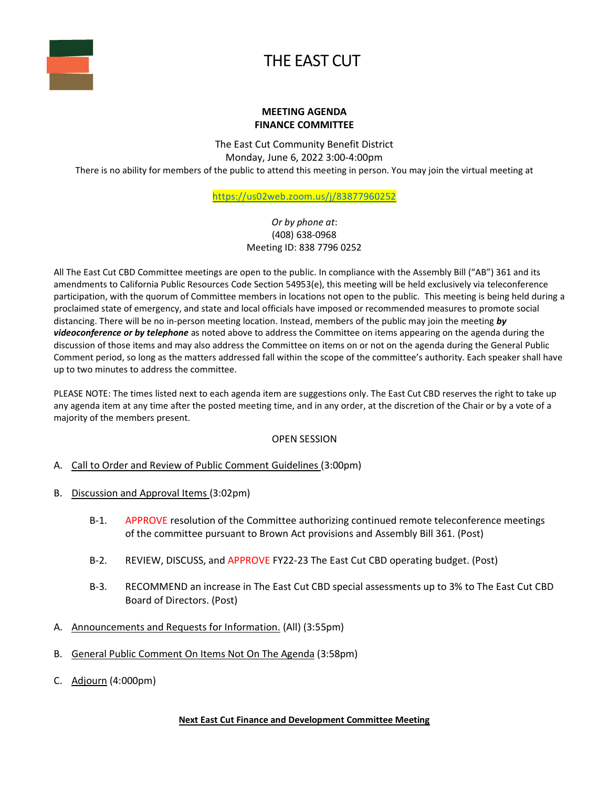

## THE EAST CUT

## **MEETING AGENDA FINANCE COMMITTEE**

The East Cut Community Benefit District Monday, June 6, 2022 3:00-4:00pm There is no ability for members of the public to attend this meeting in person. You may join the virtual meeting at

<https://us02web.zoom.us/j/83877960252>

*Or by phone at*: (408) 638-0968 Meeting ID: 838 7796 0252

All The East Cut CBD Committee meetings are open to the public. In compliance with the Assembly Bill ("AB") 361 and its amendments to California Public Resources Code Section 54953(e), this meeting will be held exclusively via teleconference participation, with the quorum of Committee members in locations not open to the public. This meeting is being held during a proclaimed state of emergency, and state and local officials have imposed or recommended measures to promote social distancing. There will be no in-person meeting location. Instead, members of the public may join the meeting *by videoconference or by telephone* as noted above to address the Committee on items appearing on the agenda during the discussion of those items and may also address the Committee on items on or not on the agenda during the General Public Comment period, so long as the matters addressed fall within the scope of the committee's authority. Each speaker shall have up to two minutes to address the committee.

PLEASE NOTE: The times listed next to each agenda item are suggestions only. The East Cut CBD reserves the right to take up any agenda item at any time after the posted meeting time, and in any order, at the discretion of the Chair or by a vote of a majority of the members present.

## OPEN SESSION

- A. Call to Order and Review of Public Comment Guidelines (3:00pm)
- B. Discussion and Approval Items (3:02pm)
	- B-1. APPROVE resolution of the Committee authorizing continued remote teleconference meetings of the committee pursuant to Brown Act provisions and Assembly Bill 361. (Post)
	- B-2. REVIEW, DISCUSS, and APPROVE FY22-23 The East Cut CBD operating budget. (Post)
	- B-3. RECOMMEND an increase in The East Cut CBD special assessments up to 3% to The East Cut CBD Board of Directors. (Post)
- A. Announcements and Requests for Information. (All) (3:55pm)
- B. General Public Comment On Items Not On The Agenda (3:58pm)
- C. Adjourn (4:000pm)

## **Next East Cut Finance and Development Committee Meeting**